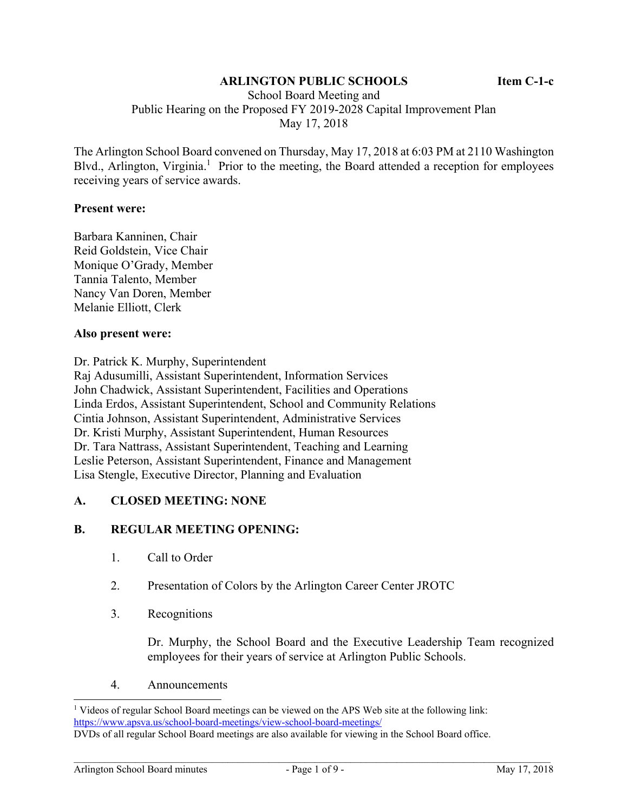## **ARLINGTON PUBLIC SCHOOLS Item C-1-c**

 School Board Meeting and Public Hearing on the Proposed FY 2019-2028 Capital Improvement Plan May 17, 2018

The Arlington School Board convened on Thursday, May 17, 2018 at 6:03 PM at 2110 Washington Blvd., Arlington, Virginia.<sup>1</sup> Prior to the meeting, the Board attended a reception for employees receiving years of service awards.

#### **Present were:**

Barbara Kanninen, Chair Reid Goldstein, Vice Chair Monique O'Grady, Member Tannia Talento, Member Nancy Van Doren, Member Melanie Elliott, Clerk

#### **Also present were:**

Dr. Patrick K. Murphy, Superintendent

Raj Adusumilli, Assistant Superintendent, Information Services John Chadwick, Assistant Superintendent, Facilities and Operations Linda Erdos, Assistant Superintendent, School and Community Relations Cintia Johnson, Assistant Superintendent, Administrative Services Dr. Kristi Murphy, Assistant Superintendent, Human Resources Dr. Tara Nattrass, Assistant Superintendent, Teaching and Learning Leslie Peterson, Assistant Superintendent, Finance and Management Lisa Stengle, Executive Director, Planning and Evaluation

### **A. CLOSED MEETING: NONE**

### **B. REGULAR MEETING OPENING:**

- 1. Call to Order
- 2. Presentation of Colors by the Arlington Career Center JROTC
- 3. Recognitions

Dr. Murphy, the School Board and the Executive Leadership Team recognized employees for their years of service at Arlington Public Schools.

4. Announcements

l

<sup>&</sup>lt;sup>1</sup> Videos of regular School Board meetings can be viewed on the APS Web site at the following link: https://www.apsva.us/school-board-meetings/view-school-board-meetings/

DVDs of all regular School Board meetings are also available for viewing in the School Board office.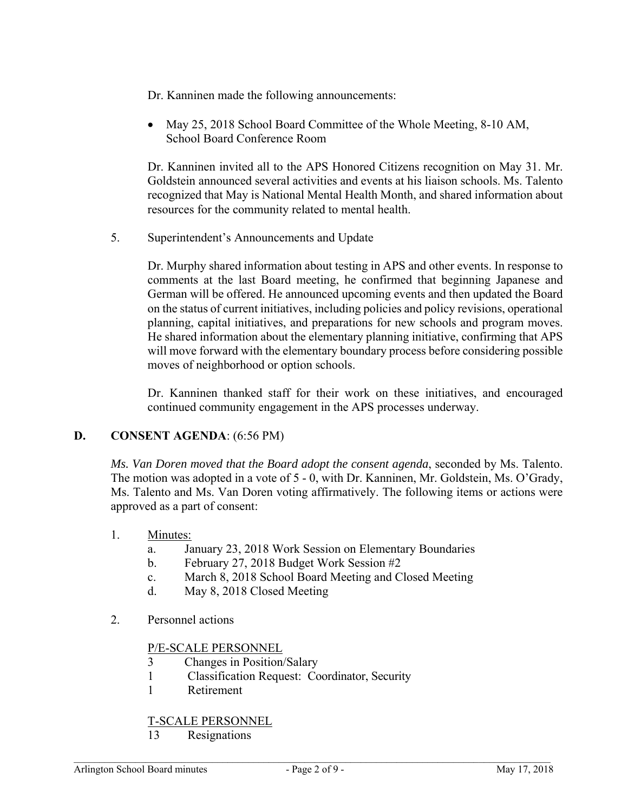- Dr. Kanninen made the following announcements:
- May 25, 2018 School Board Committee of the Whole Meeting, 8-10 AM, School Board Conference Room

Dr. Kanninen invited all to the APS Honored Citizens recognition on May 31. Mr. Goldstein announced several activities and events at his liaison schools. Ms. Talento recognized that May is National Mental Health Month, and shared information about resources for the community related to mental health.

5. Superintendent's Announcements and Update

Dr. Murphy shared information about testing in APS and other events. In response to comments at the last Board meeting, he confirmed that beginning Japanese and German will be offered. He announced upcoming events and then updated the Board on the status of current initiatives, including policies and policy revisions, operational planning, capital initiatives, and preparations for new schools and program moves. He shared information about the elementary planning initiative, confirming that APS will move forward with the elementary boundary process before considering possible moves of neighborhood or option schools.

Dr. Kanninen thanked staff for their work on these initiatives, and encouraged continued community engagement in the APS processes underway.

# **D. CONSENT AGENDA**: (6:56 PM)

*Ms. Van Doren moved that the Board adopt the consent agenda*, seconded by Ms. Talento. The motion was adopted in a vote of 5 - 0, with Dr. Kanninen, Mr. Goldstein, Ms. O'Grady, Ms. Talento and Ms. Van Doren voting affirmatively. The following items or actions were approved as a part of consent:

- 1. Minutes:
	- a. January 23, 2018 Work Session on Elementary Boundaries
	- b. February 27, 2018 Budget Work Session #2
	- c. March 8, 2018 School Board Meeting and Closed Meeting
	- d. May 8, 2018 Closed Meeting
- 2. Personnel actions

# P/E-SCALE PERSONNEL

- 3 Changes in Position/Salary
- 1 Classification Request: Coordinator, Security
- 1 Retirement

# T-SCALE PERSONNEL

13 Resignations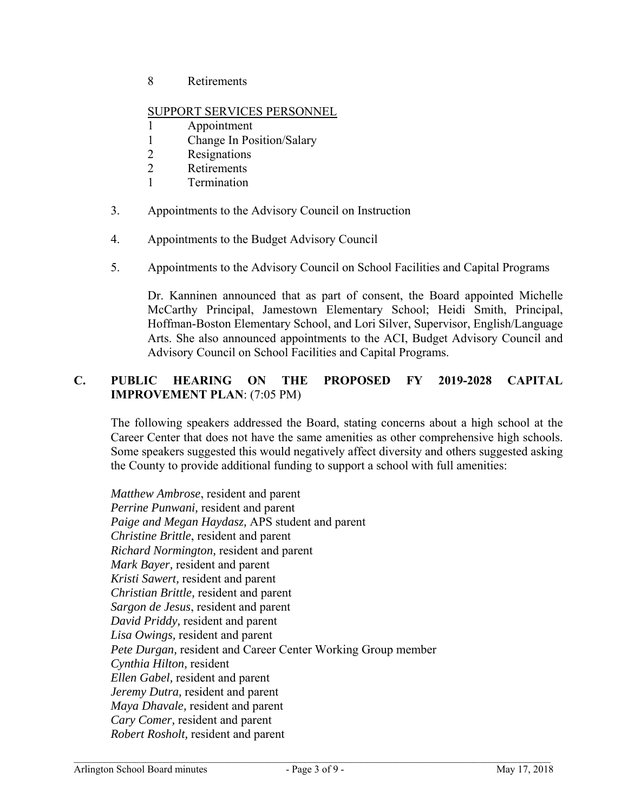8 Retirements

## SUPPORT SERVICES PERSONNEL

- 1 Appointment
- 1 Change In Position/Salary
- 2 Resignations
- 2 Retirements
- 1 Termination
- 3. Appointments to the Advisory Council on Instruction
- 4. Appointments to the Budget Advisory Council
- 5. Appointments to the Advisory Council on School Facilities and Capital Programs

Dr. Kanninen announced that as part of consent, the Board appointed Michelle McCarthy Principal, Jamestown Elementary School; Heidi Smith, Principal, Hoffman-Boston Elementary School, and Lori Silver, Supervisor, English/Language Arts. She also announced appointments to the ACI, Budget Advisory Council and Advisory Council on School Facilities and Capital Programs.

# **C. PUBLIC HEARING ON THE PROPOSED FY 2019-2028 CAPITAL IMPROVEMENT PLAN**: (7:05 PM)

The following speakers addressed the Board, stating concerns about a high school at the Career Center that does not have the same amenities as other comprehensive high schools. Some speakers suggested this would negatively affect diversity and others suggested asking the County to provide additional funding to support a school with full amenities:

*Matthew Ambrose*, resident and parent *Perrine Punwani,* resident and parent *Paige and Megan Haydasz,* APS student and parent *Christine Brittle*, resident and parent *Richard Normington,* resident and parent *Mark Bayer,* resident and parent *Kristi Sawert,* resident and parent *Christian Brittle,* resident and parent *Sargon de Jesus*, resident and parent *David Priddy,* resident and parent *Lisa Owings,* resident and parent *Pete Durgan,* resident and Career Center Working Group member *Cynthia Hilton,* resident *Ellen Gabel,* resident and parent *Jeremy Dutra,* resident and parent *Maya Dhavale,* resident and parent *Cary Comer,* resident and parent *Robert Rosholt,* resident and parent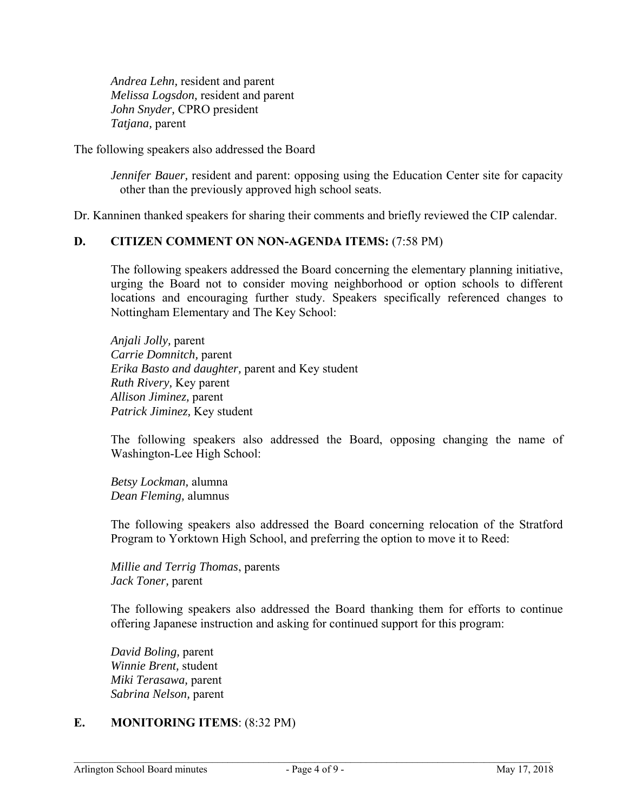*Andrea Lehn,* resident and parent *Melissa Logsdon,* resident and parent *John Snyder,* CPRO president *Tatjana,* parent

The following speakers also addressed the Board

*Jennifer Bauer,* resident and parent: opposing using the Education Center site for capacity other than the previously approved high school seats.

Dr. Kanninen thanked speakers for sharing their comments and briefly reviewed the CIP calendar.

#### **D. CITIZEN COMMENT ON NON-AGENDA ITEMS:** (7:58 PM)

The following speakers addressed the Board concerning the elementary planning initiative, urging the Board not to consider moving neighborhood or option schools to different locations and encouraging further study. Speakers specifically referenced changes to Nottingham Elementary and The Key School:

*Anjali Jolly,* parent *Carrie Domnitch,* parent *Erika Basto and daughter,* parent and Key student *Ruth Rivery,* Key parent *Allison Jiminez,* parent *Patrick Jiminez,* Key student

The following speakers also addressed the Board, opposing changing the name of Washington-Lee High School:

*Betsy Lockman,* alumna *Dean Fleming,* alumnus

The following speakers also addressed the Board concerning relocation of the Stratford Program to Yorktown High School, and preferring the option to move it to Reed:

*Millie and Terrig Thomas*, parents *Jack Toner,* parent

The following speakers also addressed the Board thanking them for efforts to continue offering Japanese instruction and asking for continued support for this program:

*David Boling,* parent *Winnie Brent,* student *Miki Terasawa,* parent *Sabrina Nelson,* parent

### **E. MONITORING ITEMS**: (8:32 PM)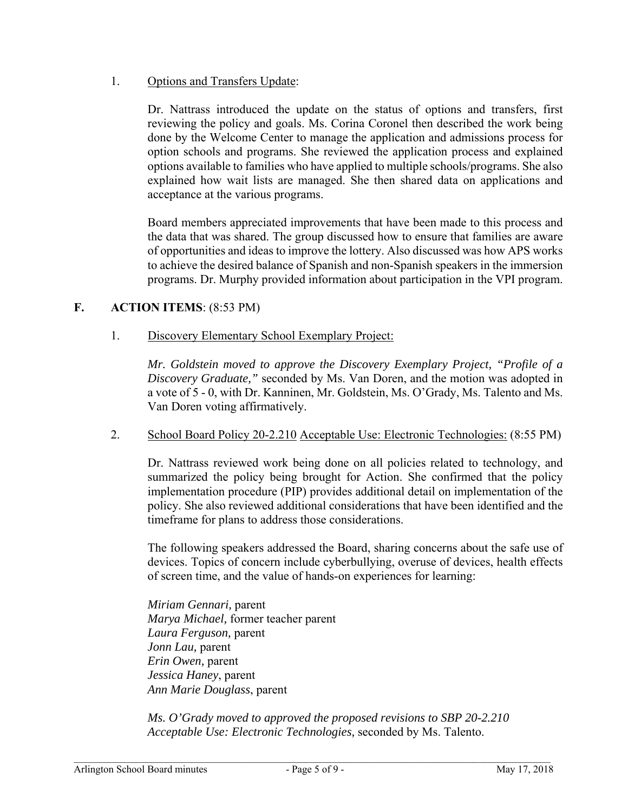## 1. Options and Transfers Update:

Dr. Nattrass introduced the update on the status of options and transfers, first reviewing the policy and goals. Ms. Corina Coronel then described the work being done by the Welcome Center to manage the application and admissions process for option schools and programs. She reviewed the application process and explained options available to families who have applied to multiple schools/programs. She also explained how wait lists are managed. She then shared data on applications and acceptance at the various programs.

Board members appreciated improvements that have been made to this process and the data that was shared. The group discussed how to ensure that families are aware of opportunities and ideas to improve the lottery. Also discussed was how APS works to achieve the desired balance of Spanish and non-Spanish speakers in the immersion programs. Dr. Murphy provided information about participation in the VPI program.

## **F. ACTION ITEMS**: (8:53 PM)

## 1. Discovery Elementary School Exemplary Project:

*Mr. Goldstein moved to approve the Discovery Exemplary Project, "Profile of a Discovery Graduate,"* seconded by Ms. Van Doren, and the motion was adopted in a vote of 5 - 0, with Dr. Kanninen, Mr. Goldstein, Ms. O'Grady, Ms. Talento and Ms. Van Doren voting affirmatively.

### 2. School Board Policy 20-2.210 Acceptable Use: Electronic Technologies: (8:55 PM)

Dr. Nattrass reviewed work being done on all policies related to technology, and summarized the policy being brought for Action. She confirmed that the policy implementation procedure (PIP) provides additional detail on implementation of the policy. She also reviewed additional considerations that have been identified and the timeframe for plans to address those considerations.

The following speakers addressed the Board, sharing concerns about the safe use of devices. Topics of concern include cyberbullying, overuse of devices, health effects of screen time, and the value of hands-on experiences for learning:

*Miriam Gennari,* parent *Marya Michael,* former teacher parent *Laura Ferguson,* parent *Jonn Lau,* parent *Erin Owen,* parent *Jessica Haney*, parent *Ann Marie Douglass*, parent

*Ms. O'Grady moved to approved the proposed revisions to SBP 20-2.210 Acceptable Use: Electronic Technologies,* seconded by Ms. Talento.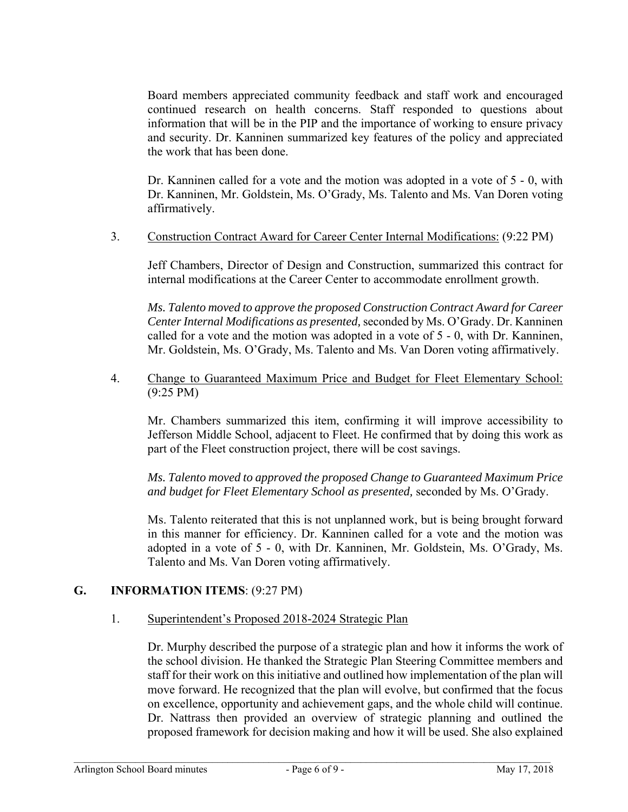Board members appreciated community feedback and staff work and encouraged continued research on health concerns. Staff responded to questions about information that will be in the PIP and the importance of working to ensure privacy and security. Dr. Kanninen summarized key features of the policy and appreciated the work that has been done.

Dr. Kanninen called for a vote and the motion was adopted in a vote of 5 - 0, with Dr. Kanninen, Mr. Goldstein, Ms. O'Grady, Ms. Talento and Ms. Van Doren voting affirmatively.

3. Construction Contract Award for Career Center Internal Modifications: (9:22 PM)

Jeff Chambers, Director of Design and Construction, summarized this contract for internal modifications at the Career Center to accommodate enrollment growth.

*Ms. Talento moved to approve the proposed Construction Contract Award for Career Center Internal Modifications as presented,* seconded by Ms. O'Grady. Dr. Kanninen called for a vote and the motion was adopted in a vote of 5 - 0, with Dr. Kanninen, Mr. Goldstein, Ms. O'Grady, Ms. Talento and Ms. Van Doren voting affirmatively.

4. Change to Guaranteed Maximum Price and Budget for Fleet Elementary School: (9:25 PM)

Mr. Chambers summarized this item, confirming it will improve accessibility to Jefferson Middle School, adjacent to Fleet. He confirmed that by doing this work as part of the Fleet construction project, there will be cost savings.

*Ms. Talento moved to approved the proposed Change to Guaranteed Maximum Price and budget for Fleet Elementary School as presented,* seconded by Ms. O'Grady.

Ms. Talento reiterated that this is not unplanned work, but is being brought forward in this manner for efficiency. Dr. Kanninen called for a vote and the motion was adopted in a vote of 5 - 0, with Dr. Kanninen, Mr. Goldstein, Ms. O'Grady, Ms. Talento and Ms. Van Doren voting affirmatively.

# **G. INFORMATION ITEMS**: (9:27 PM)

### 1. Superintendent's Proposed 2018-2024 Strategic Plan

Dr. Murphy described the purpose of a strategic plan and how it informs the work of the school division. He thanked the Strategic Plan Steering Committee members and staff for their work on this initiative and outlined how implementation of the plan will move forward. He recognized that the plan will evolve, but confirmed that the focus on excellence, opportunity and achievement gaps, and the whole child will continue. Dr. Nattrass then provided an overview of strategic planning and outlined the proposed framework for decision making and how it will be used. She also explained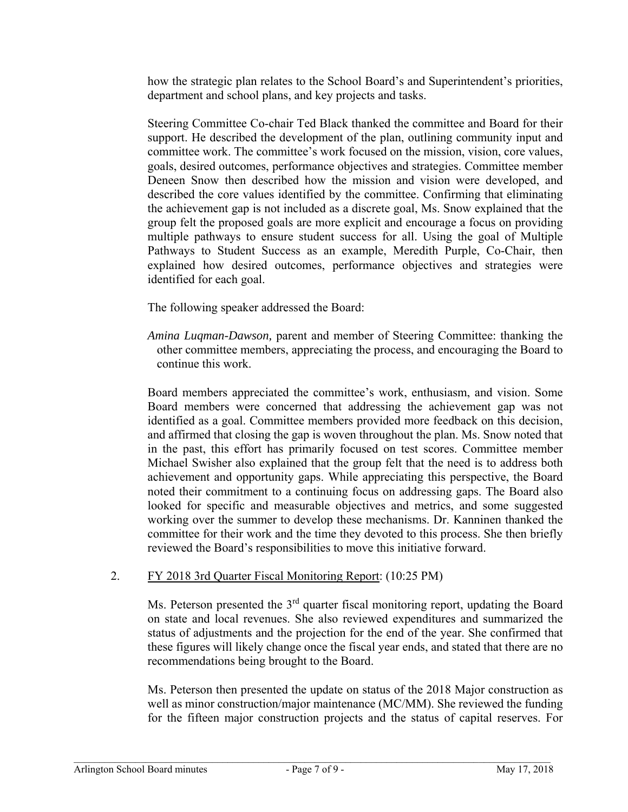how the strategic plan relates to the School Board's and Superintendent's priorities, department and school plans, and key projects and tasks.

Steering Committee Co-chair Ted Black thanked the committee and Board for their support. He described the development of the plan, outlining community input and committee work. The committee's work focused on the mission, vision, core values, goals, desired outcomes, performance objectives and strategies. Committee member Deneen Snow then described how the mission and vision were developed, and described the core values identified by the committee. Confirming that eliminating the achievement gap is not included as a discrete goal, Ms. Snow explained that the group felt the proposed goals are more explicit and encourage a focus on providing multiple pathways to ensure student success for all. Using the goal of Multiple Pathways to Student Success as an example, Meredith Purple, Co-Chair, then explained how desired outcomes, performance objectives and strategies were identified for each goal.

The following speaker addressed the Board:

*Amina Luqman-Dawson,* parent and member of Steering Committee: thanking the other committee members, appreciating the process, and encouraging the Board to continue this work.

Board members appreciated the committee's work, enthusiasm, and vision. Some Board members were concerned that addressing the achievement gap was not identified as a goal. Committee members provided more feedback on this decision, and affirmed that closing the gap is woven throughout the plan. Ms. Snow noted that in the past, this effort has primarily focused on test scores. Committee member Michael Swisher also explained that the group felt that the need is to address both achievement and opportunity gaps. While appreciating this perspective, the Board noted their commitment to a continuing focus on addressing gaps. The Board also looked for specific and measurable objectives and metrics, and some suggested working over the summer to develop these mechanisms. Dr. Kanninen thanked the committee for their work and the time they devoted to this process. She then briefly reviewed the Board's responsibilities to move this initiative forward.

# 2. FY 2018 3rd Quarter Fiscal Monitoring Report: (10:25 PM)

Ms. Peterson presented the  $3<sup>rd</sup>$  quarter fiscal monitoring report, updating the Board on state and local revenues. She also reviewed expenditures and summarized the status of adjustments and the projection for the end of the year. She confirmed that these figures will likely change once the fiscal year ends, and stated that there are no recommendations being brought to the Board.

Ms. Peterson then presented the update on status of the 2018 Major construction as well as minor construction/major maintenance (MC/MM). She reviewed the funding for the fifteen major construction projects and the status of capital reserves. For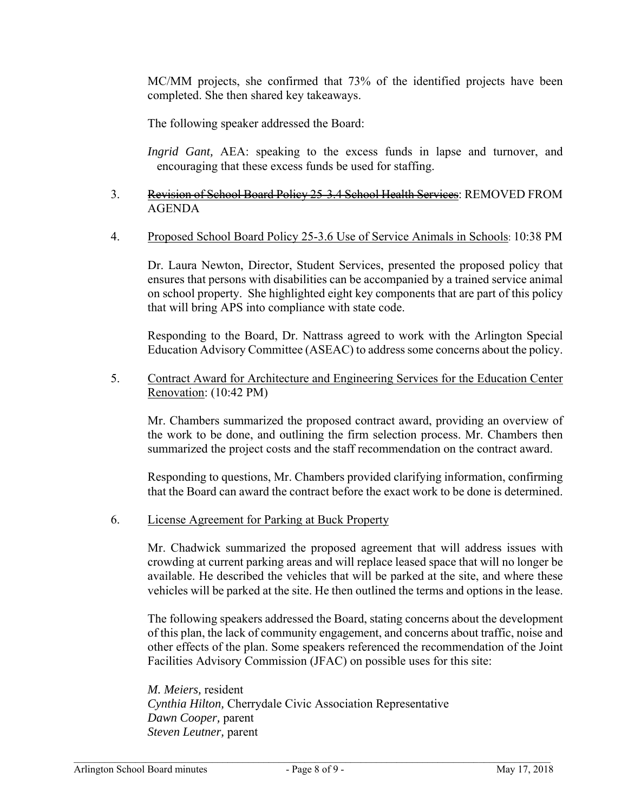MC/MM projects, she confirmed that 73% of the identified projects have been completed. She then shared key takeaways.

The following speaker addressed the Board:

*Ingrid Gant, AEA:* speaking to the excess funds in lapse and turnover, and encouraging that these excess funds be used for staffing.

## 3. Revision of School Board Policy 25-3.4 School Health Services: REMOVED FROM AGENDA

#### 4. Proposed School Board Policy 25-3.6 Use of Service Animals in Schools: 10:38 PM

Dr. Laura Newton, Director, Student Services, presented the proposed policy that ensures that persons with disabilities can be accompanied by a trained service animal on school property. She highlighted eight key components that are part of this policy that will bring APS into compliance with state code.

Responding to the Board, Dr. Nattrass agreed to work with the Arlington Special Education Advisory Committee (ASEAC) to address some concerns about the policy.

5. Contract Award for Architecture and Engineering Services for the Education Center Renovation: (10:42 PM)

Mr. Chambers summarized the proposed contract award, providing an overview of the work to be done, and outlining the firm selection process. Mr. Chambers then summarized the project costs and the staff recommendation on the contract award.

Responding to questions, Mr. Chambers provided clarifying information, confirming that the Board can award the contract before the exact work to be done is determined.

6. License Agreement for Parking at Buck Property

Mr. Chadwick summarized the proposed agreement that will address issues with crowding at current parking areas and will replace leased space that will no longer be available. He described the vehicles that will be parked at the site, and where these vehicles will be parked at the site. He then outlined the terms and options in the lease.

The following speakers addressed the Board, stating concerns about the development of this plan, the lack of community engagement, and concerns about traffic, noise and other effects of the plan. Some speakers referenced the recommendation of the Joint Facilities Advisory Commission (JFAC) on possible uses for this site:

*M. Meiers,* resident *Cynthia Hilton,* Cherrydale Civic Association Representative *Dawn Cooper,* parent *Steven Leutner,* parent